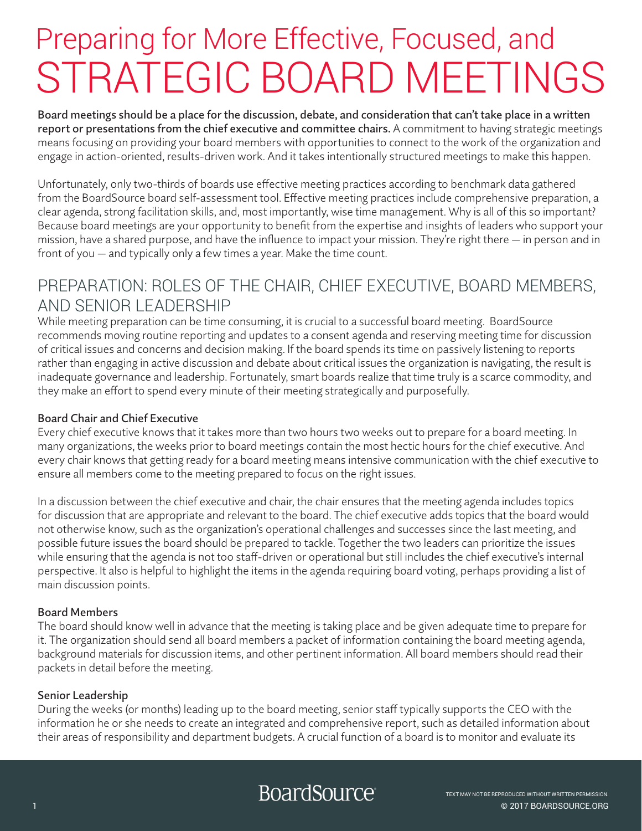## Preparing for More Effective, Focused, and STRATEGIC BOARD MEETINGS

Board meetings should be a place for the discussion, debate, and consideration that can't take place in a written report or presentations from the chief executive and committee chairs. A commitment to having strategic meetings means focusing on providing your board members with opportunities to connect to the work of the organization and engage in action-oriented, results-driven work. And it takes intentionally structured meetings to make this happen.

Unfortunately, only two-thirds of boards use effective meeting practices according to benchmark data gathered from the BoardSource board self-assessment tool. Effective meeting practices include comprehensive preparation, a clear agenda, strong facilitation skills, and, most importantly, wise time management. Why is all of this so important? Because board meetings are your opportunity to benefit from the expertise and insights of leaders who support your mission, have a shared purpose, and have the influence to impact your mission. They're right there — in person and in front of you — and typically only a few times a year. Make the time count.

#### PREPARATION: ROLES OF THE CHAIR, CHIEF EXECUTIVE, BOARD MEMBERS, AND SENIOR LEADERSHIP

While meeting preparation can be time consuming, it is crucial to a successful board meeting. BoardSource recommends moving routine reporting and updates to a consent agenda and reserving meeting time for discussion of critical issues and concerns and decision making. If the board spends its time on passively listening to reports rather than engaging in active discussion and debate about critical issues the organization is navigating, the result is inadequate governance and leadership. Fortunately, smart boards realize that time truly is a scarce commodity, and they make an effort to spend every minute of their meeting strategically and purposefully.

#### Board Chair and Chief Executive

Every chief executive knows that it takes more than two hours two weeks out to prepare for a board meeting. In many organizations, the weeks prior to board meetings contain the most hectic hours for the chief executive. And every chair knows that getting ready for a board meeting means intensive communication with the chief executive to ensure all members come to the meeting prepared to focus on the right issues.

In a discussion between the chief executive and chair, the chair ensures that the meeting agenda includes topics for discussion that are appropriate and relevant to the board. The chief executive adds topics that the board would not otherwise know, such as the organization's operational challenges and successes since the last meeting, and possible future issues the board should be prepared to tackle. Together the two leaders can prioritize the issues while ensuring that the agenda is not too staff-driven or operational but still includes the chief executive's internal perspective. It also is helpful to highlight the items in the agenda requiring board voting, perhaps providing a list of main discussion points.

#### Board Members

The board should know well in advance that the meeting is taking place and be given adequate time to prepare for it. The organization should send all board members a packet of information containing the board meeting agenda, background materials for discussion items, and other pertinent information. All board members should read their packets in detail before the meeting.

#### Senior Leadership

During the weeks (or months) leading up to the board meeting, senior staff typically supports the CEO with the information he or she needs to create an integrated and comprehensive report, such as detailed information about their areas of responsibility and department budgets. A crucial function of a board is to monitor and evaluate its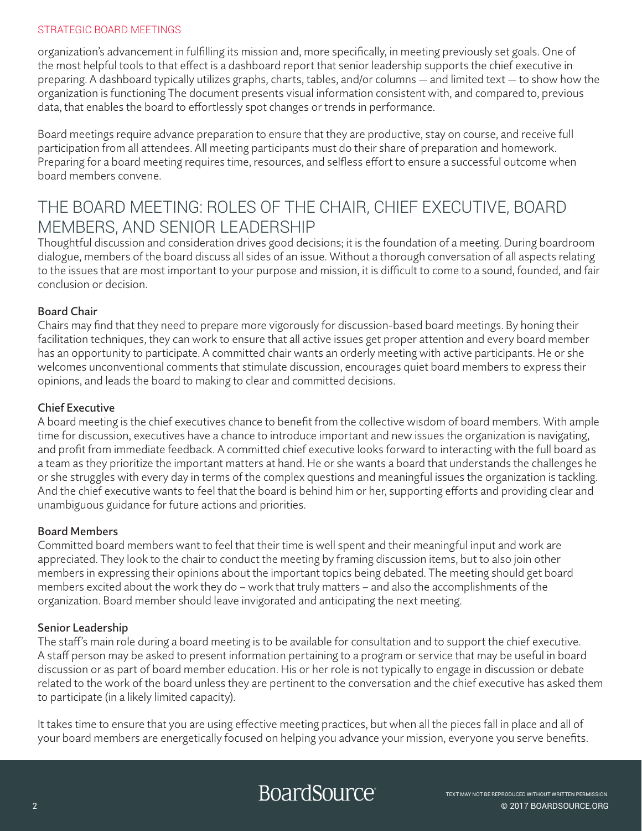#### STRATEGIC BOARD MEETINGS

organization's advancement in fulfilling its mission and, more specifically, in meeting previously set goals. One of the most helpful tools to that effect is a dashboard report that senior leadership supports the chief executive in preparing. A dashboard typically utilizes graphs, charts, tables, and/or columns — and limited text — to show how the organization is functioning The document presents visual information consistent with, and compared to, previous data, that enables the board to effortlessly spot changes or trends in performance.

Board meetings require advance preparation to ensure that they are productive, stay on course, and receive full participation from all attendees. All meeting participants must do their share of preparation and homework. Preparing for a board meeting requires time, resources, and selfless effort to ensure a successful outcome when board members convene.

#### THE BOARD MEETING: ROLES OF THE CHAIR, CHIEF EXECUTIVE, BOARD MEMBERS, AND SENIOR LEADERSHIP

Thoughtful discussion and consideration drives good decisions; it is the foundation of a meeting. During boardroom dialogue, members of the board discuss all sides of an issue. Without a thorough conversation of all aspects relating to the issues that are most important to your purpose and mission, it is difficult to come to a sound, founded, and fair conclusion or decision.

#### Board Chair

Chairs may find that they need to prepare more vigorously for discussion-based board meetings. By honing their facilitation techniques, they can work to ensure that all active issues get proper attention and every board member has an opportunity to participate. A committed chair wants an orderly meeting with active participants. He or she welcomes unconventional comments that stimulate discussion, encourages quiet board members to express their opinions, and leads the board to making to clear and committed decisions.

#### Chief Executive

A board meeting is the chief executives chance to benefit from the collective wisdom of board members. With ample time for discussion, executives have a chance to introduce important and new issues the organization is navigating, and profit from immediate feedback. A committed chief executive looks forward to interacting with the full board as a team as they prioritize the important matters at hand. He or she wants a board that understands the challenges he or she struggles with every day in terms of the complex questions and meaningful issues the organization is tackling. And the chief executive wants to feel that the board is behind him or her, supporting efforts and providing clear and unambiguous guidance for future actions and priorities.

#### Board Members

Committed board members want to feel that their time is well spent and their meaningful input and work are appreciated. They look to the chair to conduct the meeting by framing discussion items, but to also join other members in expressing their opinions about the important topics being debated. The meeting should get board members excited about the work they do – work that truly matters – and also the accomplishments of the organization. Board member should leave invigorated and anticipating the next meeting.

#### Senior Leadership

The staff's main role during a board meeting is to be available for consultation and to support the chief executive. A staff person may be asked to present information pertaining to a program or service that may be useful in board discussion or as part of board member education. His or her role is not typically to engage in discussion or debate related to the work of the board unless they are pertinent to the conversation and the chief executive has asked them to participate (in a likely limited capacity).

It takes time to ensure that you are using effective meeting practices, but when all the pieces fall in place and all of your board members are energetically focused on helping you advance your mission, everyone you serve benefits.